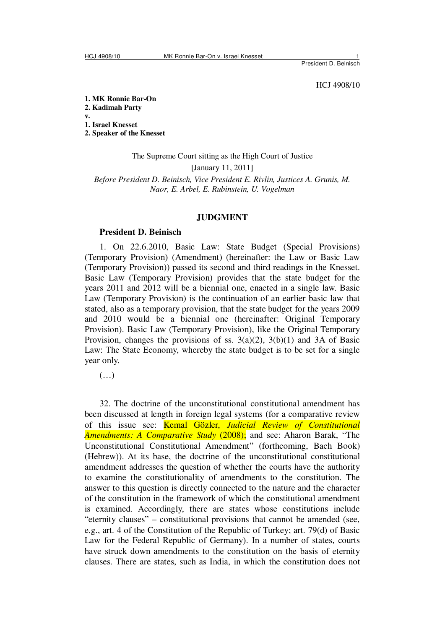President D. Beinisch

HCJ 4908/10

**1. MK Ronnie Bar-On** 

**2. Kadimah Party v.** 

**1. Israel Knesset** 

**2. Speaker of the Knesset** 

The Supreme Court sitting as the High Court of Justice [January 11, 2011] *Before President D. Beinisch, Vice President E. Rivlin, Justices A. Grunis, M. Naor, E. Arbel, E. Rubinstein, U. Vogelman* 

#### **JUDGMENT**

### **President D. Beinisch**

1. On 22.6.2010, Basic Law: State Budget (Special Provisions) (Temporary Provision) (Amendment) (hereinafter: the Law or Basic Law (Temporary Provision)) passed its second and third readings in the Knesset. Basic Law (Temporary Provision) provides that the state budget for the years 2011 and 2012 will be a biennial one, enacted in a single law. Basic Law (Temporary Provision) is the continuation of an earlier basic law that stated, also as a temporary provision, that the state budget for the years 2009 and 2010 would be a biennial one (hereinafter: Original Temporary Provision). Basic Law (Temporary Provision), like the Original Temporary Provision, changes the provisions of ss.  $3(a)(2)$ ,  $3(b)(1)$  and  $3A$  of Basic Law: The State Economy, whereby the state budget is to be set for a single year only.

(…)

32. The doctrine of the unconstitutional constitutional amendment has been discussed at length in foreign legal systems (for a comparative review of this issue see: Kemal Gözler, *Judicial Review of Constitutional Amendments: A Comparative Study* (2008); and see: Aharon Barak, "The Unconstitutional Constitutional Amendment" (forthcoming, Bach Book) (Hebrew)). At its base, the doctrine of the unconstitutional constitutional amendment addresses the question of whether the courts have the authority to examine the constitutionality of amendments to the constitution. The answer to this question is directly connected to the nature and the character of the constitution in the framework of which the constitutional amendment is examined. Accordingly, there are states whose constitutions include "eternity clauses" – constitutional provisions that cannot be amended (see, e.g., art. 4 of the Constitution of the Republic of Turkey; art. 79(d) of Basic Law for the Federal Republic of Germany). In a number of states, courts have struck down amendments to the constitution on the basis of eternity clauses. There are states, such as India, in which the constitution does not